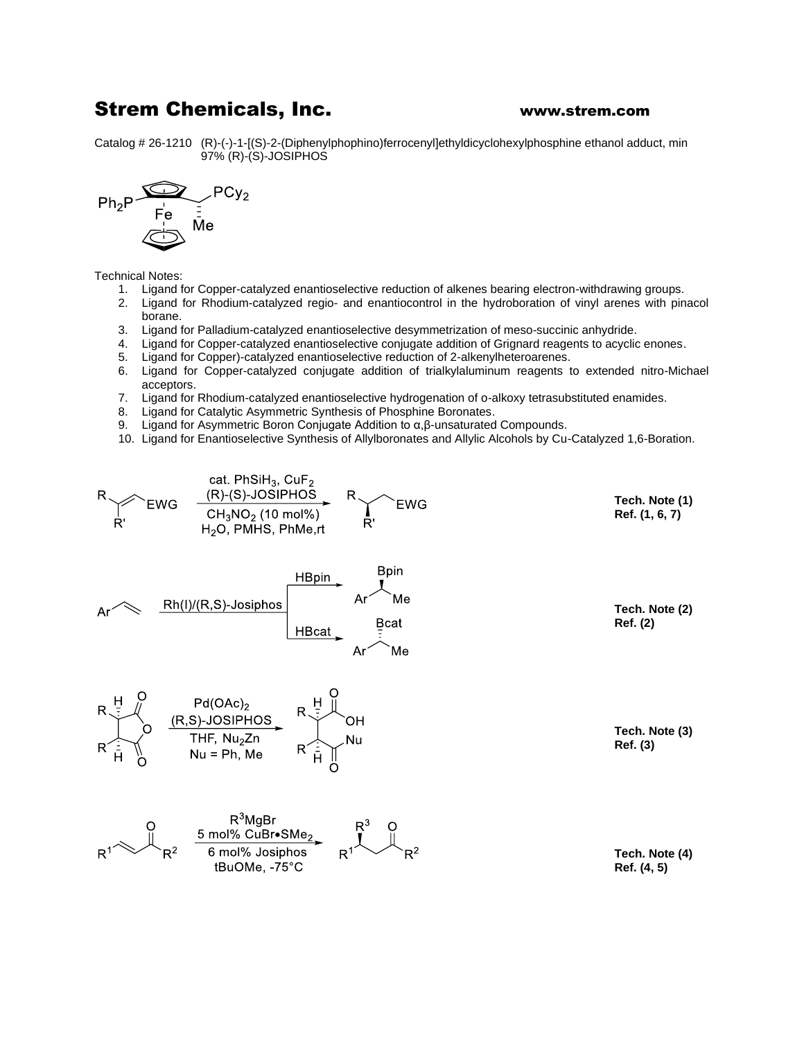## Strem Chemicals, Inc. **WALK** WWW.strem.com

Catalog # 26-1210 (R)-(-)-1-[(S)-2-(Diphenylphophino)ferrocenyl]ethyldicyclohexylphosphine ethanol adduct, min 97% (R)-(S)-JOSIPHOS



Technical Notes:

- 1. Ligand for Copper-catalyzed enantioselective reduction of alkenes bearing electron-withdrawing groups.
- 2. Ligand for Rhodium-catalyzed regio- and enantiocontrol in the hydroboration of vinyl arenes with pinacol borane.
- 3. Ligand for Palladium-catalyzed enantioselective desymmetrization of meso-succinic anhydride.
- 4. Ligand for Copper-catalyzed enantioselective conjugate addition of Grignard reagents to acyclic enones.
- 5. Ligand for Copper)-catalyzed enantioselective reduction of 2-alkenylheteroarenes.
- 6. Ligand for Copper-catalyzed conjugate addition of trialkylaluminum reagents to extended nitro-Michael acceptors.
- 7. Ligand for Rhodium-catalyzed enantioselective hydrogenation of o-alkoxy tetrasubstituted enamides.
- 8. Ligand for Catalytic Asymmetric Synthesis of Phosphine Boronates.
- 9. Ligand for Asymmetric Boron Conjugate Addition to α,β-unsaturated Compounds.
- 10. Ligand for Enantioselective Synthesis of Allylboronates and Allylic Alcohols by Cu-Catalyzed 1,6-Boration.

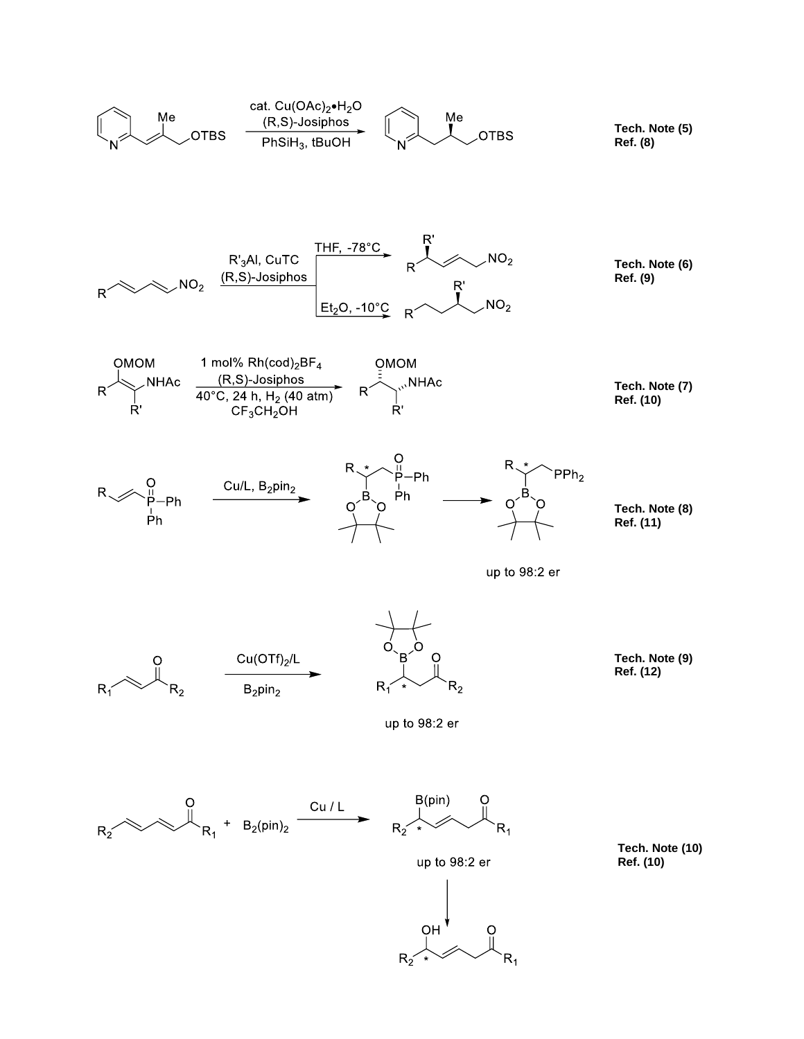